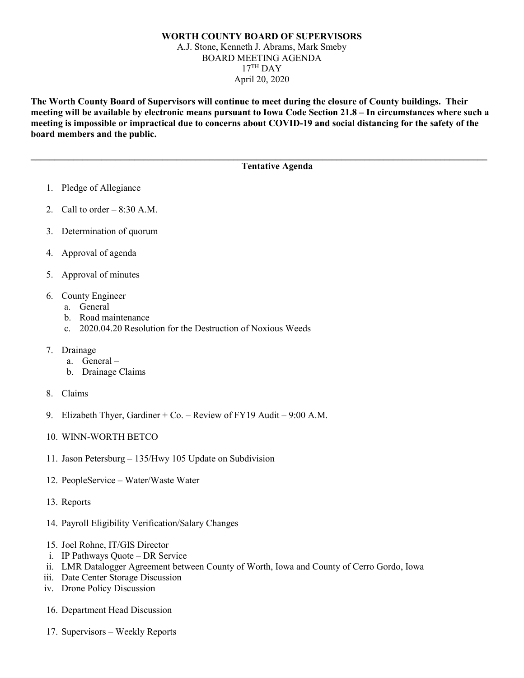## **WORTH COUNTY BOARD OF SUPERVISORS** A.J. Stone, Kenneth J. Abrams, Mark Smeby BOARD MEETING AGENDA  $17<sup>TH</sup>$  DAY April 20, 2020

**The Worth County Board of Supervisors will continue to meet during the closure of County buildings. Their meeting will be available by electronic means pursuant to Iowa Code Section 21.8 – In circumstances where such a meeting is impossible or impractical due to concerns about COVID-19 and social distancing for the safety of the board members and the public.** 

**\_\_\_\_\_\_\_\_\_\_\_\_\_\_\_\_\_\_\_\_\_\_\_\_\_\_\_\_\_\_\_\_\_\_\_\_\_\_\_\_\_\_\_\_\_\_\_\_\_\_\_\_\_\_\_\_\_\_\_\_\_\_\_\_\_\_\_\_\_\_\_\_\_\_\_\_\_\_\_\_\_\_\_\_\_\_\_\_\_\_\_\_\_\_\_\_\_**

## **Tentative Agenda**

- 1. Pledge of Allegiance
- 2. Call to order  $-8:30$  A.M.
- 3. Determination of quorum
- 4. Approval of agenda
- 5. Approval of minutes
- 6. County Engineer
	- a. General
	- b. Road maintenance
	- c. 2020.04.20 Resolution for the Destruction of Noxious Weeds
- 7. Drainage
	- a. General –
	- b. Drainage Claims
- 8. Claims
- 9. Elizabeth Thyer, Gardiner + Co. Review of FY19 Audit 9:00 A.M.
- 10. WINN-WORTH BETCO
- 11. Jason Petersburg 135/Hwy 105 Update on Subdivision
- 12. PeopleService Water/Waste Water
- 13. Reports
- 14. Payroll Eligibility Verification/Salary Changes
- 15. Joel Rohne, IT/GIS Director
- i. IP Pathways Quote DR Service
- ii. LMR Datalogger Agreement between County of Worth, Iowa and County of Cerro Gordo, Iowa
- iii. Date Center Storage Discussion
- iv. Drone Policy Discussion
- 16. Department Head Discussion
- 17. Supervisors Weekly Reports